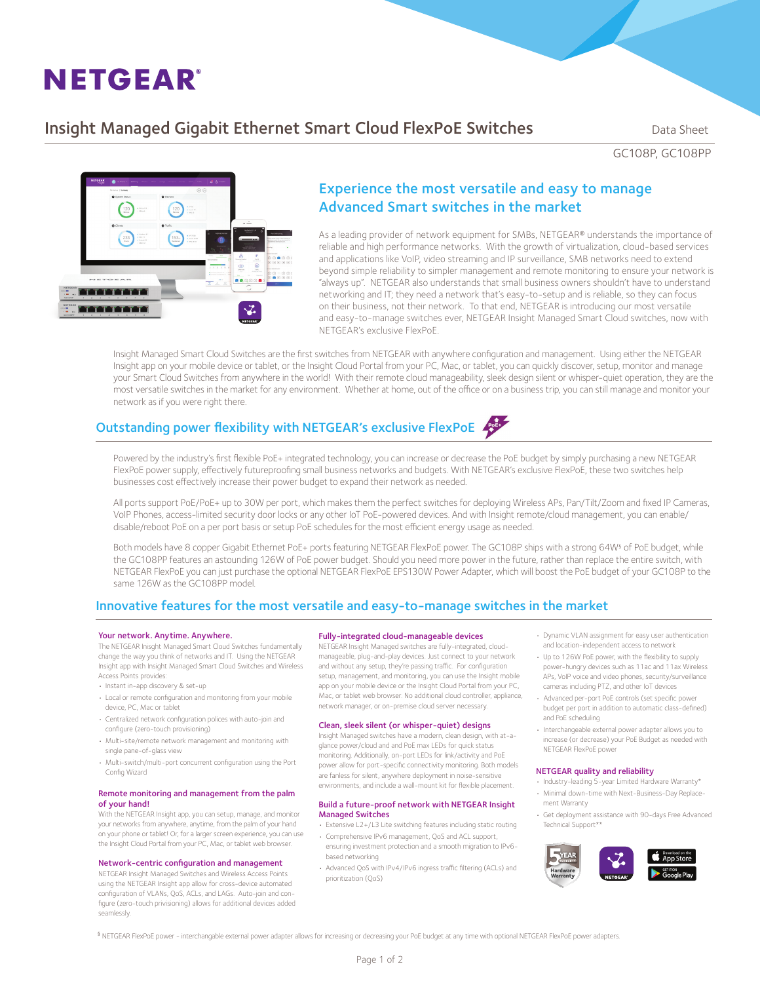# **NETGEAR®**

# Insight Managed Gigabit Ethernet Smart Cloud FlexPoE Switches Data Sheet

GC108P, GC108PP



# Experience the most versatile and easy to manage Advanced Smart switches in the market

As a leading provider of network equipment for SMBs, NETGEAR® understands the importance of reliable and high performance networks. With the growth of virtualization, cloud-based services and applications like VoIP, video streaming and IP surveillance, SMB networks need to extend beyond simple reliability to simpler management and remote monitoring to ensure your network is "always up". NETGEAR also understands that small business owners shouldn't have to understand networking and IT; they need a network that's easy-to-setup and is reliable, so they can focus on their business, not their network. To that end, NETGEAR is introducing our most versatile and easy-to-manage switches ever, NETGEAR Insight Managed Smart Cloud switches, now with NETGEAR's exclusive FlexPoE.

Insight Managed Smart Cloud Switches are the first switches from NETGEAR with anywhere configuration and management. Using either the NETGEAR Insight app on your mobile device or tablet, or the Insight Cloud Portal from your PC, Mac, or tablet, you can quickly discover, setup, monitor and manage your Smart Cloud Switches from anywhere in the world! With their remote cloud manageability, sleek design silent or whisper-quiet operation, they are the most versatile switches in the market for any environment. Whether at home, out of the office or on a business trip, you can still manage and monitor your network as if you were right there.

# Outstanding power flexibility with NETGEAR's exclusive FlexPoE



Powered by the industry's first flexible PoE+ integrated technology, you can increase or decrease the PoE budget by simply purchasing a new NETGEAR FlexPoE power supply, effectively futureproofing small business networks and budgets. With NETGEAR's exclusive FlexPoE, these two switches help businesses cost effectively increase their power budget to expand their network as needed.

All ports support PoE/PoE+ up to 30W per port, which makes them the perfect switches for deploying Wireless APs, Pan/Tilt/Zoom and fixed IP Cameras, VoIP Phones, access-limited security door locks or any other IoT PoE-powered devices. And with Insight remote/cloud management, you can enable/ disable/reboot PoE on a per port basis or setup PoE schedules for the most efficient energy usage as needed.

Both models have 8 copper Gigabit Ethernet PoE+ ports featuring NETGEAR FlexPoE power. The GC108P ships with a strong 64W§ of PoE budget, while the GC108PP features an astounding 126W of PoE power budget. Should you need more power in the future, rather than replace the entire switch, with NETGEAR FlexPoE you can just purchase the optional NETGEAR FlexPoE EPS130W Power Adapter, which will boost the PoE budget of your GC108P to the same 126W as the GC108PP model.

## Innovative features for the most versatile and easy-to-manage switches in the market

#### Your network. Anytime. Anywhere.

The NETGEAR Inisght Managed Smart Cloud Switches fundamentally change the way you think of networks and IT. Using the NETGEAR Insight app with Insight Managed Smart Cloud Switches and Wireless Access Points provides:

- • Instant in-app discovery & set-up
- Local or remote configuration and monitoring from your mobile device, PC, Mac or tablet
- • Centralized network configuration polices with auto-join and configure (zero-touch provisioning)
- • Multi-site/remote network management and monitoring with single pane-of-glass view
- • Multi-switch/multi-port concurrent configuration using the Port Config Wizard

#### Remote monitoring and management from the palm of your hand!

With the NETGEAR Insight app, you can setup, manage, and monitor your networks from anywhere, anytime, from the palm of your hand on your phone or tablet! Or, for a larger screen experience, you can use the Insight Cloud Portal from your PC, Mac, or tablet web browser.

#### Network-centric configuration and management

NETGEAR Insight Managed Switches and Wireless Access Points using the NETGEAR Insight app allow for cross-device automated configuration of VLANs, QoS, ACLs, and LAGs. Auto-join and configure (zero-touch privisioning) allows for additional devices added seamlessly.

#### Fully-integrated cloud-manageable devices

NETGEAR Insight Managed switches are fully-integrated, cloudmanageable, plug-and-play devices. Just connect to your network and without any setup, they're passing traffic. For configuration setup, management, and monitoring, you can use the Insight mobile app on your mobile device or the Insight Cloud Portal from your PC, Mac, or tablet web browser. No additional cloud controller, appliance network manager, or on-premise cloud server necessary.

### Clean, sleek silent (or whisper-quiet) designs

Insight Managed switches have a modern, clean design, with at-aglance power/cloud and and PoE max LEDs for quick status monitoring. Additionally, on-port LEDs for link/activity and PoE power allow for port-specific connectivity monitoring. Both models are fanless for silent, anywhere deployment in noise-sensitive environments, and include a wall-mount kit for flexible placement.

#### Build a future-proof network with NETGEAR Insight Managed Switches

- Extensive L2+/L3 Lite switching features including static routing
- • Comprehensive IPv6 management, QoS and ACL support, ensuring investment protection and a smooth migration to IPv6 based networking
- • Advanced QoS with IPv4/IPv6 ingress traffic filtering (ACLs) and prioritization (QoS)
- • Dynamic VLAN assignment for easy user authentication and location-independent access to network
- • Up to 126W PoE power, with the flexibility to supply power-hungry devices such as 11ac and 11ax Wireless APs, VoIP voice and video phones, security/surveillance cameras including PTZ, and other IoT devices
- Advanced per-port PoE controls (set specific power budget per port in addition to automatic class-defined) and PoE scheduling
- Interchangeable external power adapter allows you to increase (or decrease) your PoE Budget as needed with NETGEAR FlexPoE power

#### NETGEAR quality and reliability

- • Industry-leading 5-year Limited Hardware Warranty\* • Minimal down-time with Next-Business-Day Replace-
- ment Warranty
- • Get deployment assistance with 90-days Free Advanced Technical Support\*\*



§ NETGEAR FlexPoE power - interchangable external power adapter allows for increasing or decreasing your PoE budget at any time with optional NETGEAR FlexPoE power adapters.